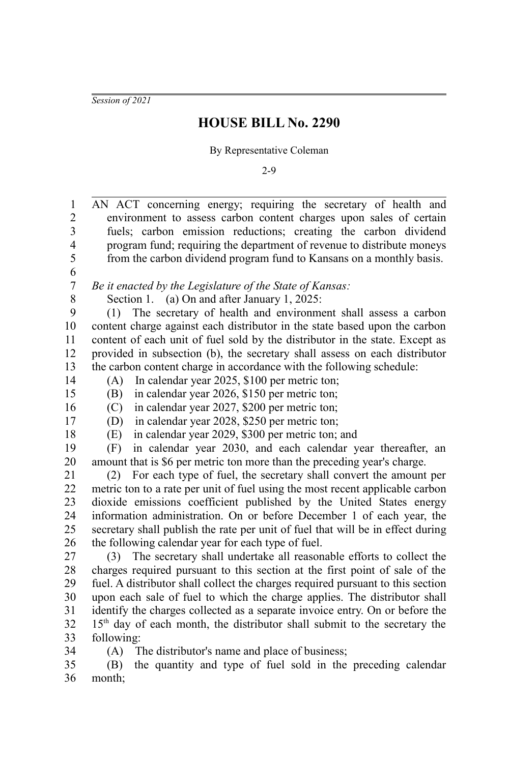*Session of 2021*

## **HOUSE BILL No. 2290**

By Representative Coleman

2-9

AN ACT concerning energy; requiring the secretary of health and environment to assess carbon content charges upon sales of certain fuels; carbon emission reductions; creating the carbon dividend program fund; requiring the department of revenue to distribute moneys from the carbon dividend program fund to Kansans on a monthly basis. *Be it enacted by the Legislature of the State of Kansas:* Section 1. (a) On and after January 1, 2025: (1) The secretary of health and environment shall assess a carbon content charge against each distributor in the state based upon the carbon content of each unit of fuel sold by the distributor in the state. Except as provided in subsection (b), the secretary shall assess on each distributor the carbon content charge in accordance with the following schedule: (A) In calendar year 2025, \$100 per metric ton; (B) in calendar year 2026, \$150 per metric ton; (C) in calendar year 2027, \$200 per metric ton; (D) in calendar year 2028, \$250 per metric ton; (E) in calendar year 2029, \$300 per metric ton; and (F) in calendar year 2030, and each calendar year thereafter, an amount that is \$6 per metric ton more than the preceding year's charge. (2) For each type of fuel, the secretary shall convert the amount per metric ton to a rate per unit of fuel using the most recent applicable carbon dioxide emissions coefficient published by the United States energy information administration. On or before December 1 of each year, the secretary shall publish the rate per unit of fuel that will be in effect during the following calendar year for each type of fuel. (3) The secretary shall undertake all reasonable efforts to collect the charges required pursuant to this section at the first point of sale of the fuel. A distributor shall collect the charges required pursuant to this section upon each sale of fuel to which the charge applies. The distributor shall identify the charges collected as a separate invoice entry. On or before the  $15<sup>th</sup>$  day of each month, the distributor shall submit to the secretary the following: (A) The distributor's name and place of business; (B) the quantity and type of fuel sold in the preceding calendar month; 1 2 3 4 5 6 7 8 9 10 11 12 13 14 15 16 17 18 19 20 21 22 23 24 25 26 27 28 29 30 31 32 33 34 35 36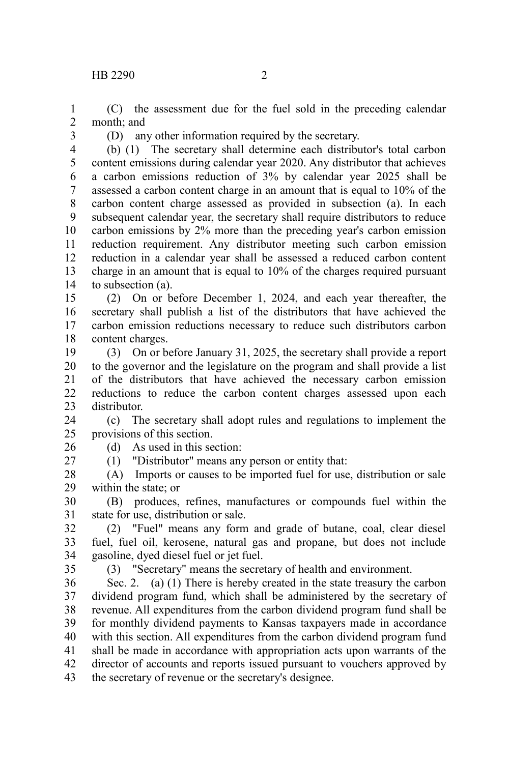(C) the assessment due for the fuel sold in the preceding calendar month; and 1 2

3

(D) any other information required by the secretary.

(b) (1) The secretary shall determine each distributor's total carbon content emissions during calendar year 2020. Any distributor that achieves a carbon emissions reduction of 3% by calendar year 2025 shall be assessed a carbon content charge in an amount that is equal to 10% of the carbon content charge assessed as provided in subsection (a). In each subsequent calendar year, the secretary shall require distributors to reduce carbon emissions by 2% more than the preceding year's carbon emission reduction requirement. Any distributor meeting such carbon emission reduction in a calendar year shall be assessed a reduced carbon content charge in an amount that is equal to 10% of the charges required pursuant to subsection (a). 4 5 6 7 8 9 10 11 12 13 14

(2) On or before December 1, 2024, and each year thereafter, the secretary shall publish a list of the distributors that have achieved the carbon emission reductions necessary to reduce such distributors carbon content charges. 15 16 17 18

(3) On or before January 31, 2025, the secretary shall provide a report to the governor and the legislature on the program and shall provide a list of the distributors that have achieved the necessary carbon emission reductions to reduce the carbon content charges assessed upon each distributor. 19 20 21 22 23

(c) The secretary shall adopt rules and regulations to implement the provisions of this section. 24 25

(d) As used in this section: 26

(1) "Distributor" means any person or entity that:

(A) Imports or causes to be imported fuel for use, distribution or sale within the state; or 28 29

(B) produces, refines, manufactures or compounds fuel within the state for use, distribution or sale. 30 31

(2) "Fuel" means any form and grade of butane, coal, clear diesel fuel, fuel oil, kerosene, natural gas and propane, but does not include gasoline, dyed diesel fuel or jet fuel. 32 33 34

35

27

(3) "Secretary" means the secretary of health and environment.

Sec. 2. (a) (1) There is hereby created in the state treasury the carbon dividend program fund, which shall be administered by the secretary of revenue. All expenditures from the carbon dividend program fund shall be for monthly dividend payments to Kansas taxpayers made in accordance with this section. All expenditures from the carbon dividend program fund shall be made in accordance with appropriation acts upon warrants of the director of accounts and reports issued pursuant to vouchers approved by the secretary of revenue or the secretary's designee. 36 37 38 39 40 41 42 43